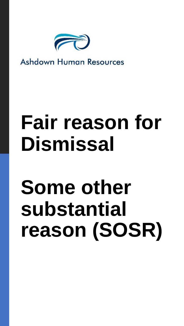

### **Ashdown Human Resources**

# **Fair reason for Dismissal**

# **Some other substantial reason (SOSR)**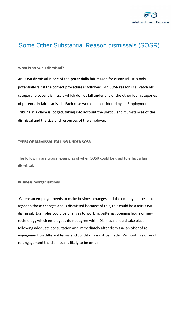

### Some Other Substantial Reason dismissals (SOSR)

#### **What is an SOSR dismissal?**

An SOSR dismissal is one of the **potentially** fair reason for dismissal. It is only potentially fair if the correct procedure is followed. An SOSR reason is a "catch all" category to cover dismissals which do not fall under any of the other four categories of potentially fair dismissal. Each case would be considered by an Employment Tribunal if a claim is lodged, taking into account the particular circumstances of the dismissal and the size and resources of the employer.

#### **TYPES OF DISMISSAL FALLING UNDER SOSR**

The following are typical examples of when SOSR could be used to effect a fair dismissal.

#### **Business reorganisations**

Where an employer needs to make business changes and the employee does not agree to those changes and is dismissed because of this, this could be a fair SOSR dismissal. Examples could be changes to working patterns, opening hours or new technology which employees do not agree with. Dismissal should take place following adequate consultation and immediately after dismissal an offer of reengagement on different terms and conditions must be made. Without this offer of re-engagement the dismissal is likely to be unfair.